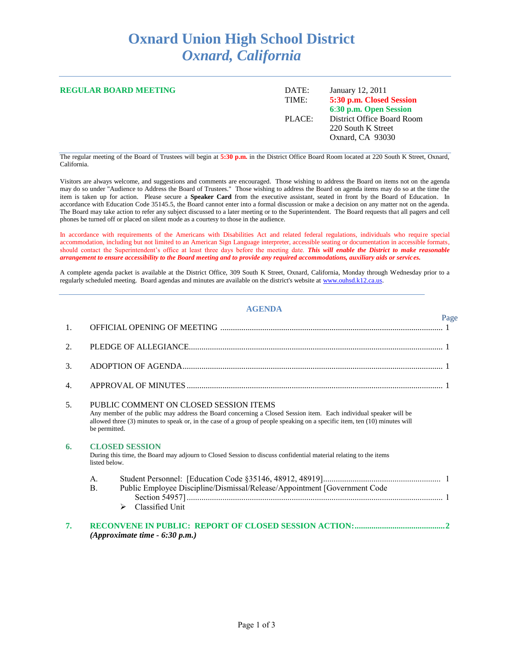## **Oxnard Union High School District** *Oxnard, California*

| <b>REGULAR BOARD MEETING</b> | DATE:<br>TIME: | January 12, 2011<br>5:30 p.m. Closed Session<br>6:30 p.m. Open Session |
|------------------------------|----------------|------------------------------------------------------------------------|
|                              | PLACE:         | District Office Board Room<br>220 South K Street<br>Oxnard, CA 93030   |

The regular meeting of the Board of Trustees will begin at **5:30 p.m.** in the District Office Board Room located at 220 South K Street, Oxnard, California.

Visitors are always welcome, and suggestions and comments are encouraged. Those wishing to address the Board on items not on the agenda may do so under "Audience to Address the Board of Trustees." Those wishing to address the Board on agenda items may do so at the time the item is taken up for action. Please secure a **Speaker Card** from the executive assistant, seated in front by the Board of Education. In accordance with Education Code 35145.5, the Board cannot enter into a formal discussion or make a decision on any matter not on the agenda. The Board may take action to refer any subject discussed to a later meeting or to the Superintendent. The Board requests that all pagers and cell phones be turned off or placed on silent mode as a courtesy to those in the audience.

In accordance with requirements of the Americans with Disabilities Act and related federal regulations, individuals who require special accommodation, including but not limited to an American Sign Language interpreter, accessible seating or documentation in accessible formats, should contact the Superintendent's office at least three days before the meeting date. *This will enable the District to make reasonable arrangement to ensure accessibility to the Board meeting and to provide any required accommodations, auxiliary aids or services.*

A complete agenda packet is available at the District Office, 309 South K Street, Oxnard, California, Monday through Wednesday prior to a regularly scheduled meeting. Board agendas and minutes are available on the district's website at [www.ouhsd.k12.ca.us.](http://www.ouhsd.k12.ca.us/)

## **AGENDA**

|    |                                                                                                                                                                                                                                                                                                           | Page |  |  |
|----|-----------------------------------------------------------------------------------------------------------------------------------------------------------------------------------------------------------------------------------------------------------------------------------------------------------|------|--|--|
| 1. |                                                                                                                                                                                                                                                                                                           |      |  |  |
| 2. |                                                                                                                                                                                                                                                                                                           |      |  |  |
| 3. |                                                                                                                                                                                                                                                                                                           |      |  |  |
| 4. |                                                                                                                                                                                                                                                                                                           |      |  |  |
| 5. | PUBLIC COMMENT ON CLOSED SESSION ITEMS<br>Any member of the public may address the Board concerning a Closed Session item. Each individual speaker will be<br>allowed three (3) minutes to speak or, in the case of a group of people speaking on a specific item, ten (10) minutes will<br>be permitted. |      |  |  |
| 6. | <b>CLOSED SESSION</b><br>During this time, the Board may adjourn to Closed Session to discuss confidential material relating to the items<br>listed below.                                                                                                                                                |      |  |  |
|    | A.<br>Public Employee Discipline/Dismissal/Release/Appointment [Government Code<br>$\mathbf{B}$ .<br>Classified Unit<br>➤                                                                                                                                                                                 |      |  |  |
| 7. | $(Approximate time - 6:30 p.m.)$                                                                                                                                                                                                                                                                          |      |  |  |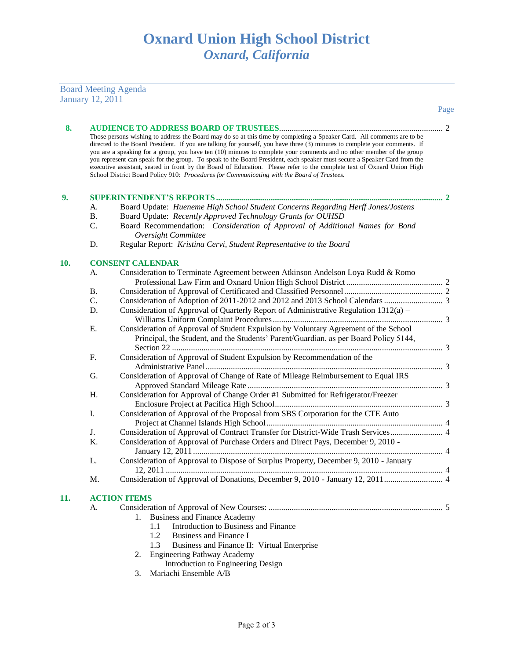Board Meeting Agenda

|     | <b>January 12, 2011</b> |                                                                                                                                                                                                                                                                                                                                                                                                                                                                                                                                                                                                                                                                                                                                  |      |
|-----|-------------------------|----------------------------------------------------------------------------------------------------------------------------------------------------------------------------------------------------------------------------------------------------------------------------------------------------------------------------------------------------------------------------------------------------------------------------------------------------------------------------------------------------------------------------------------------------------------------------------------------------------------------------------------------------------------------------------------------------------------------------------|------|
|     |                         |                                                                                                                                                                                                                                                                                                                                                                                                                                                                                                                                                                                                                                                                                                                                  | Page |
| 8.  |                         |                                                                                                                                                                                                                                                                                                                                                                                                                                                                                                                                                                                                                                                                                                                                  |      |
|     |                         | Those persons wishing to address the Board may do so at this time by completing a Speaker Card. All comments are to be<br>directed to the Board President. If you are talking for yourself, you have three (3) minutes to complete your comments. If<br>you are a speaking for a group, you have ten (10) minutes to complete your comments and no other member of the group<br>you represent can speak for the group. To speak to the Board President, each speaker must secure a Speaker Card from the<br>executive assistant, seated in front by the Board of Education. Please refer to the complete text of Oxnard Union High<br>School District Board Policy 910: Procedures for Communicating with the Board of Trustees. |      |
| 9.  |                         |                                                                                                                                                                                                                                                                                                                                                                                                                                                                                                                                                                                                                                                                                                                                  |      |
|     | A.                      | Board Update: Hueneme High School Student Concerns Regarding Herff Jones/Jostens                                                                                                                                                                                                                                                                                                                                                                                                                                                                                                                                                                                                                                                 |      |
|     | <b>B.</b>               | Board Update: Recently Approved Technology Grants for OUHSD                                                                                                                                                                                                                                                                                                                                                                                                                                                                                                                                                                                                                                                                      |      |
|     | C.                      | Board Recommendation: Consideration of Approval of Additional Names for Bond<br><b>Oversight Committee</b>                                                                                                                                                                                                                                                                                                                                                                                                                                                                                                                                                                                                                       |      |
|     | D.                      | Regular Report: Kristina Cervi, Student Representative to the Board                                                                                                                                                                                                                                                                                                                                                                                                                                                                                                                                                                                                                                                              |      |
| 10. |                         | <b>CONSENT CALENDAR</b>                                                                                                                                                                                                                                                                                                                                                                                                                                                                                                                                                                                                                                                                                                          |      |
|     | А.                      | Consideration to Terminate Agreement between Atkinson Andelson Loya Rudd & Romo                                                                                                                                                                                                                                                                                                                                                                                                                                                                                                                                                                                                                                                  |      |
|     |                         |                                                                                                                                                                                                                                                                                                                                                                                                                                                                                                                                                                                                                                                                                                                                  |      |
|     | <b>B.</b><br>C.         |                                                                                                                                                                                                                                                                                                                                                                                                                                                                                                                                                                                                                                                                                                                                  |      |
|     | D.                      | Consideration of Approval of Quarterly Report of Administrative Regulation 1312(a) -                                                                                                                                                                                                                                                                                                                                                                                                                                                                                                                                                                                                                                             |      |
|     |                         |                                                                                                                                                                                                                                                                                                                                                                                                                                                                                                                                                                                                                                                                                                                                  |      |
|     | Ε.                      | Consideration of Approval of Student Expulsion by Voluntary Agreement of the School<br>Principal, the Student, and the Students' Parent/Guardian, as per Board Policy 5144,                                                                                                                                                                                                                                                                                                                                                                                                                                                                                                                                                      |      |
|     | F.                      | Consideration of Approval of Student Expulsion by Recommendation of the                                                                                                                                                                                                                                                                                                                                                                                                                                                                                                                                                                                                                                                          |      |
|     | G.                      | Consideration of Approval of Change of Rate of Mileage Reimbursement to Equal IRS                                                                                                                                                                                                                                                                                                                                                                                                                                                                                                                                                                                                                                                |      |
|     | H.                      | Consideration for Approval of Change Order #1 Submitted for Refrigerator/Freezer                                                                                                                                                                                                                                                                                                                                                                                                                                                                                                                                                                                                                                                 |      |
|     | Ι.                      | Consideration of Approval of the Proposal from SBS Corporation for the CTE Auto                                                                                                                                                                                                                                                                                                                                                                                                                                                                                                                                                                                                                                                  |      |
|     | J.                      | Consideration of Approval of Contract Transfer for District-Wide Trash Services 4                                                                                                                                                                                                                                                                                                                                                                                                                                                                                                                                                                                                                                                |      |
|     | K.                      | Consideration of Approval of Purchase Orders and Direct Pays, December 9, 2010 -                                                                                                                                                                                                                                                                                                                                                                                                                                                                                                                                                                                                                                                 |      |
|     | L.                      | Consideration of Approval to Dispose of Surplus Property, December 9, 2010 - January                                                                                                                                                                                                                                                                                                                                                                                                                                                                                                                                                                                                                                             |      |
|     | M.                      |                                                                                                                                                                                                                                                                                                                                                                                                                                                                                                                                                                                                                                                                                                                                  |      |
| 11. |                         | <b>ACTION ITEMS</b>                                                                                                                                                                                                                                                                                                                                                                                                                                                                                                                                                                                                                                                                                                              |      |
|     | A.                      |                                                                                                                                                                                                                                                                                                                                                                                                                                                                                                                                                                                                                                                                                                                                  |      |
|     |                         | <b>Business and Finance Academy</b>                                                                                                                                                                                                                                                                                                                                                                                                                                                                                                                                                                                                                                                                                              |      |
|     |                         | Introduction to Business and Finance<br>1.1                                                                                                                                                                                                                                                                                                                                                                                                                                                                                                                                                                                                                                                                                      |      |
|     |                         | 1.2<br><b>Business and Finance I</b>                                                                                                                                                                                                                                                                                                                                                                                                                                                                                                                                                                                                                                                                                             |      |
|     |                         | 1.3<br>Business and Finance II: Virtual Enterprise                                                                                                                                                                                                                                                                                                                                                                                                                                                                                                                                                                                                                                                                               |      |
|     |                         | <b>Engineering Pathway Academy</b><br>2.                                                                                                                                                                                                                                                                                                                                                                                                                                                                                                                                                                                                                                                                                         |      |

- Introduction to Engineering Design
- 3. Mariachi Ensemble A/B